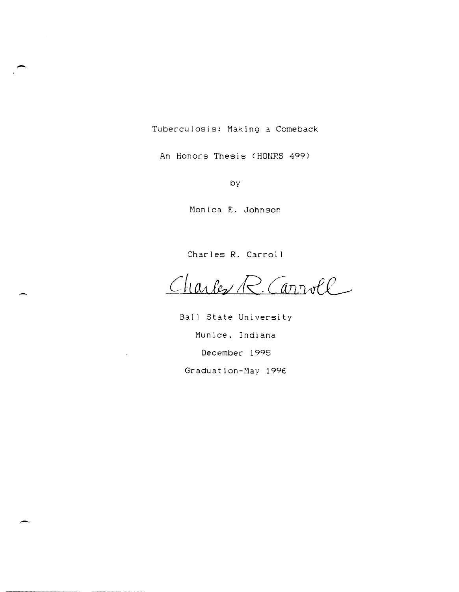Tuberculosis: Making a Comeback

-

 $\overline{\phantom{0}}$ 

An Honors Thesis (HONRS 499)

by

Monica E. Johnson

Charles R. Carrol I

Charles R. Carroll

Ball State University Munice. Indiana December 1995 Graduation-May 199€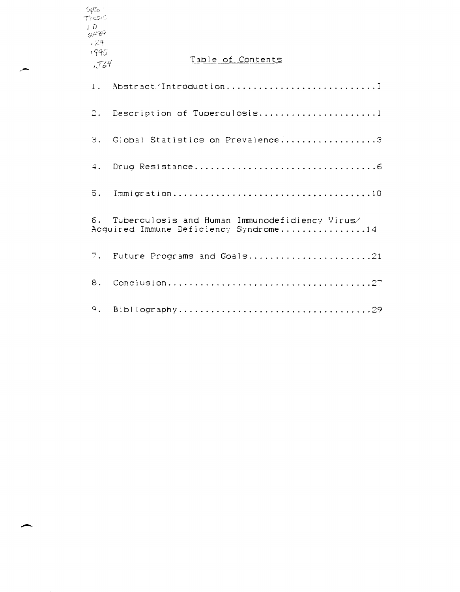| Thesic<br>LD<br>2489  |                                                                                         |
|-----------------------|-----------------------------------------------------------------------------------------|
| $-24$<br>1995<br>.764 | Table of Contents                                                                       |
| 1.                    | Abstract/Introduction                                                                   |
| 2.                    | Description of Tuberculosis1                                                            |
| $\beta$ .             | Global Statistics on Prevalence3                                                        |
| 4.                    |                                                                                         |
| 5.                    |                                                                                         |
| б.                    | Tuberculosis and Human Immunodefidiency Virus/<br>Acquired Immune Deficiency Syndrome14 |
| 7.                    | Future Programs and Goals21                                                             |
| 8.                    |                                                                                         |
| $\circ$ .             |                                                                                         |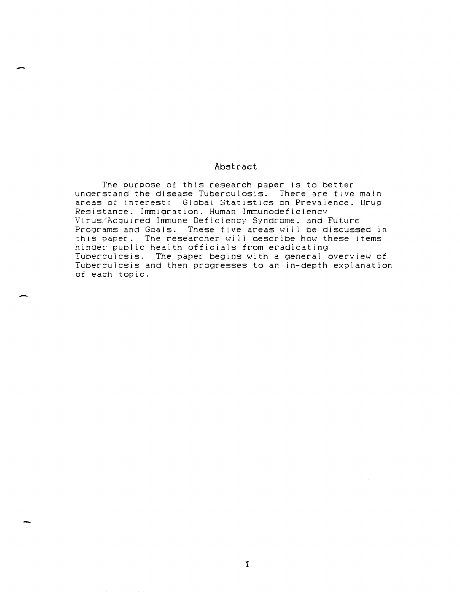## Abstract

-

-

-

The purpose of this research paper is to better understand the disease Tuberculosis. There are five main areas of interest: Global Statistics on Prevalence. Drug Resistance. Immigration. Human Immunodeficiency Virus/AcqUlred Immune Deficiency Syndrome. and Future Programs and Goals. These five areas will be discussed in this paper. The researcher will describe how these items hinder public health officials from eradicating Tuoercuicsis. The paper begins with a general overview of Tuberculcsis and then progresses to an in-depth explanation of each topic.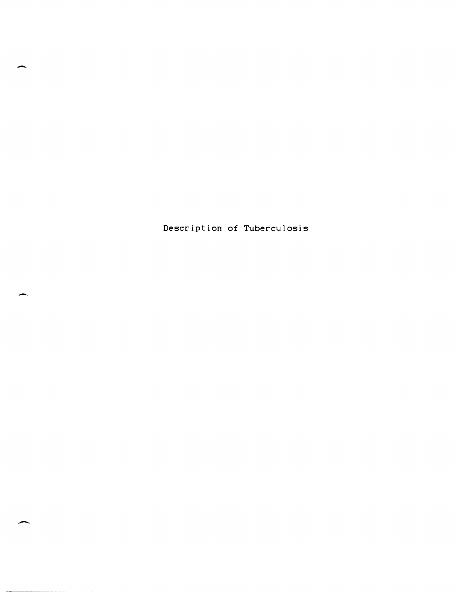Description of Tuberculosis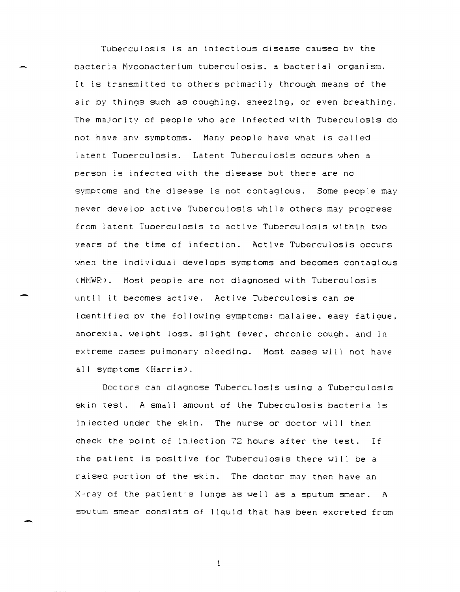Tuberculosis is an infectious disease caused by the bacteria Mycobacterium tuberculosis. a bacterial organism. It is transmitted to others primarily through means of the air by things such as coughing. sneezing, or even breathing. The majority of people who are infected with Tuberculosis do not have any symptoms. Many people have what is called latent Tuberculosis. Latent Tuberculosis occurs when a person is infected with the disease but there are no symptoms and the disease is not contagious. Some people may never develop active Tuberculosis while others may progress from latent Tuberculosis to active Tuberculosis within two years of the time of infection. Active Tuberculosis occurs when the individual develops symptoms and becomes contagious <MMWP). Most people are not diagnosed with Tuberculosis until it becomes active. Active Tuberculosis can be identified by the fol lowing symptoms: malaise. easy fatigue. anorexia. weight loss. sl ight fever. chronic cough. and in extreme cases pulmonary bleeding. Most cases will not have all symptoms (Harris).

Doctors can diagnose Tuberculosis using a Tuberculosis skin test. A small amount of the Tuberculosis bacteria is injected under the skin. The nurse or doctor will then check the point of in,iection 72 hours after the test. If the patient is positive for Tuberculosis there wi I I be a raised portion of the skin. The doctor may then have an X-ray of the patient/s lungs as well as a sputum smear. A sputum smear consists of liquid that has been excreted from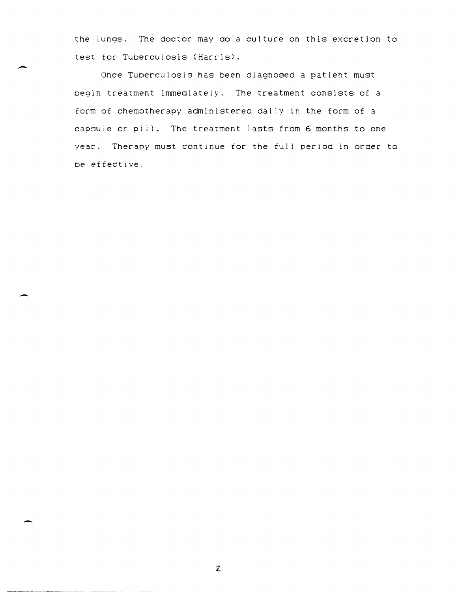the lungs. The doctor may do a culture on this excretion to test for Tuberculosis (Harris).

Once Tuberculosis has been diagnosed a patient must begin treatment immediately. The treatment consists of a form of chemotherapy administered dai ly in the form of a capsule cr pill. The treatment lasts from 6 months to one year. Therapy must continue for the full period in order to De effective.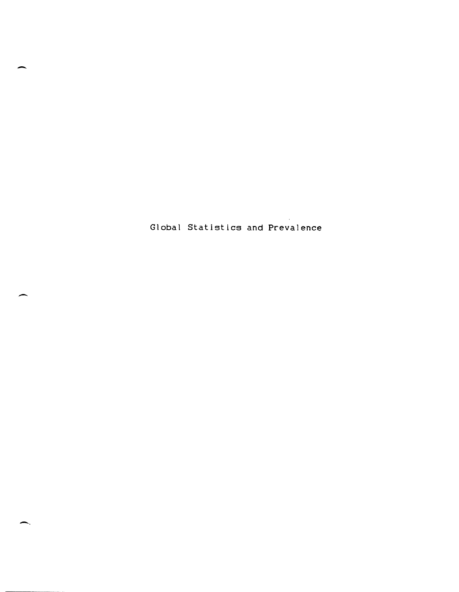Global Statistics and Prevalence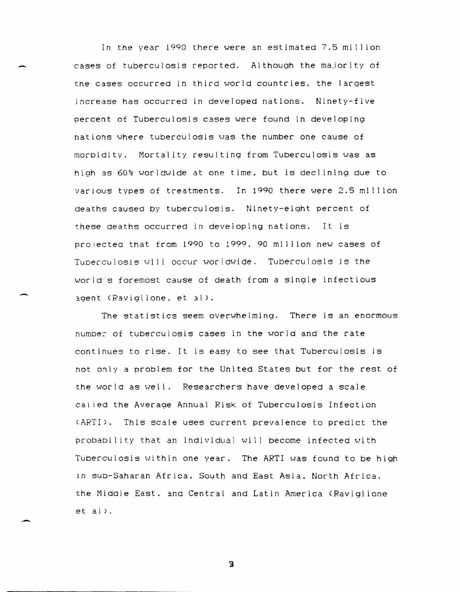In the year 1990 there were an estimated 7.5 mill ion cases of tuberculosis reported. Although the majority of the cases occurred in third world countries. the largest increase has occurred in developed nations. Ninety-five percent of Tuberculosis cases were found in developing nations where tuberculosis was the number one cause of morbidity. Mortality resulting from Tuberculosis was as high as 60% worldwide at one time. but is declining due to various types of treatments. In 1990 there were 2.5 mil I ion deaths caused by tuberculosis. Ninety-eight percent of these deaths occurred in developing nations. It is proiectea that from 1990 to 1999.90 million new cases of Tuperculosis will occur worldwide. Tuberculosis is the world's foremost cause of death from a single infectious agent (Raviglione, et al).

The statistics seem overwhelming. There is an enormous numbe: of tuberculosis cases in the world and the rate continues to rise. It is easy to see that Tuberculosis is not only a problem for the United States but for the rest of the world as well. Researchers have developed a scale cal led the Average Annual Risk of Tuberculosis Infection (ARTI). This scale uses current prevalence to predict the probability that an individual will become infected with Tuberculosis within one year. The ARTI was found to be high in sub-Saharan Africa. South and East Asia. North Africa. the Middle East. and Central and Latin America (Raviglione  $et al.$ 

 $\overline{\mathbf{3}}$ 

--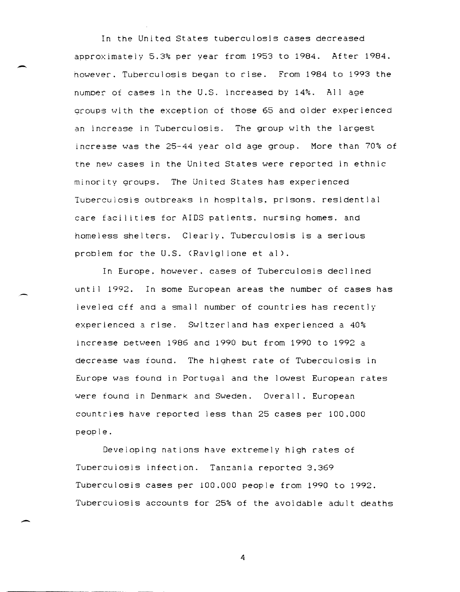In the United States tuberculosis cases decreased approximately 5.3% per year from 1953 to 1984. After 1984. however. Tuberculosis began to rise. From 1984 to 1993 the numDer of cases in the U.S. increased by 14%. All age groups with the exception of those 65 and older experienced an increase in Tuberculosis. The group with the largest increase was the 25-44 year old age group. More than 70% of the new cases in the United States were reported in ethnic minority groups. The United States has experienced Tuberculosis outbreaks in hospitals. prisons. residential care facilities for AIDS patients. nursing homes, and homeless shelters. Clearly. Tuberculosis is a serious problem for the U.S. (Raviglione et al).

 $\overline{\phantom{0}}$ 

-

In Europe. however. cases of Tuberculosis declined until 1992. In some European areas the number of cases has leveled cff and a small number of countries has recently experienced a rise. Switzerland has experienced a 40% increase between 1986 and 1990 but from 1990 to 1992 a decrease was found. The highest rate of Tuberculosis in Europe was found in Portugal and the lowest European rates were found in Denmark and Sweden. Overall. European countries have reported less than 25 cases per 100.000 people.

Developing nations have extremely high rates of TUDercuiosis infection. Tanzania reported 3.369 Tuberculosis cases per 100.000 people from 1990 to 1992. Tuberculosis accounts for 25% of the avoidable adult deaths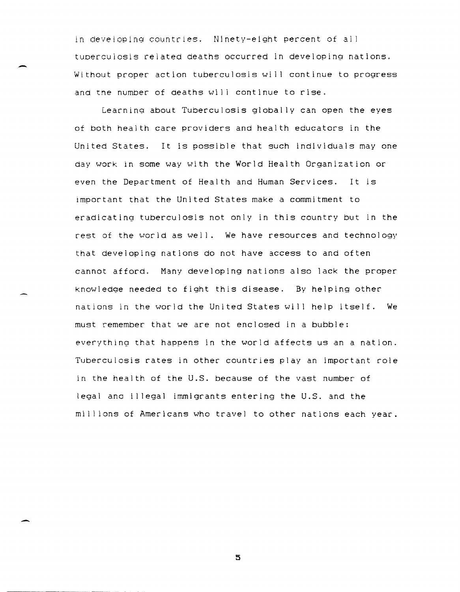In developIng countries. Ninety-eight percent of al <sup>I</sup> tuoerculosls related deaths occurred in developing nations. Without proper action tuberculosis will continue to progress and the number of deaths will continue to rise.

Learning about Tuberculosis globally can open the eyes of both health care providers and health educators in the United States. It is possible that such individuals may one day work in some way with the World Health Organization or even the Department of Health and Human Services. It is important that the United States make a commitment to eradicating tuberculosis not only in this country but in the rest of the world as well. We have resources and technology that developing nations do not have access to and often cannot afford. Many developing nations also lack the proper knowledge needed to fight this disease. By helping other nations in the world the United States will help itself. We must remember that we are not enclosed in a bubble: everything that happens in the world affects us an a nation. Tuberculosis rates in other countries play an important role in the health of the U.S. because of the vast number of legal ana il legal immigrants entering the U.S. and the millions of Americans who travel to other nations each year.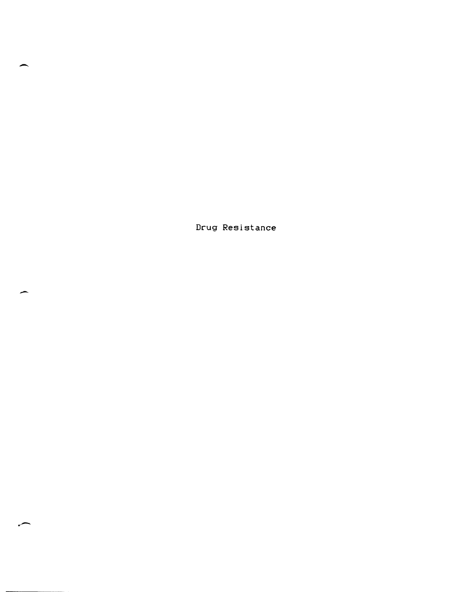Drug Resistance

 $\overline{\phantom{0}}$ 

-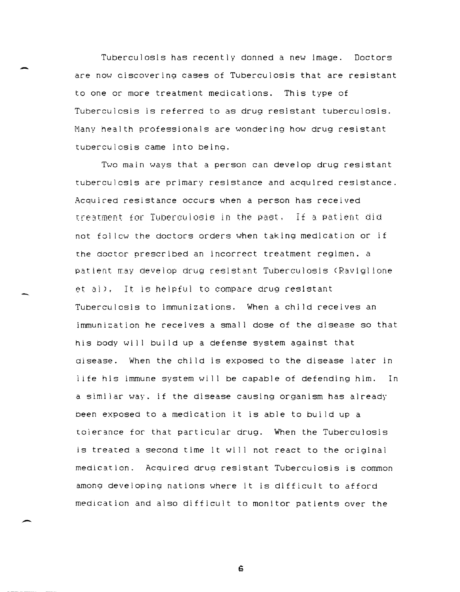Tuberculosis has recently donned a new image. Doctors are now ciscovering cases of Tuberculosis that are resistant to one or more treatment medications. This type of Tuberculosis is referred to as drug resistant tuberculosis. Many health professionals are wondering how drug resistant tUberculosis came into being.

Two main ways that a person can develop drug resistant tuberculosis are primary resistance and acquired resistance. Acquired resistance occurs when a person has received treatment for TuberculobiB in the past. If a patient did not fol lew the doctors orders when taking medication or if the doctor prescribed an incorrect treatment regimen. a patient may develop drug resistant Tuberculosis (Raviglione et al). It is helpful to compare drug resistant Tuberculosis to immunizations. When a child receives an immunization he receives a small dose of the disease so that his body will build up a defense system against that aisease. When the chi ld is exposed to the disease later in life his immune system will be capable of defending him. In a similar way. if the disease causing organism has already been exposed to a medication it is able to build up a tolerance for that particular drug. When the Tuberculosis is treated a second time it will not react to the original medication. Acquired drug resistant Tuberculosis is common among developing nations where it is difficult to afford medication and also difficult to monitor patients over the

G

-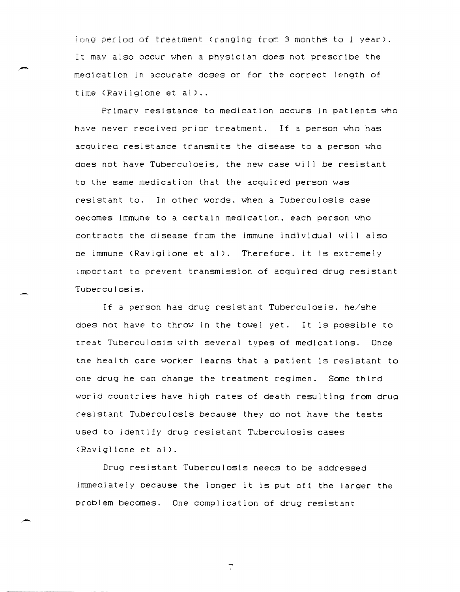iong period of treatment (ranging from 3 months to 1 year). It may also occur when a physician does not prescribe the medication in accurate doses or for the correct length of time (Ravilgione et al) ..

Primarv resistance to medication occurs in patients who have never received prior treatment. If a person who has acquired resistance transmits the disease to a person who does not have Tuberculosis. the new case will be resistant to the same medication that the acquired person was resistant to. In other words. when a Tuberculosis case becomes immune to a certain medication. each person who contracts the disease from the immune individual will also be immune (Ravigl ione et al). Therefore. it is extremely important to prevent transmission of acquired drug resistant Tuberculosis.

If a person has drug resistant Tuberculosis. he/she does not have to throw in the towel yet. It is possible to treat Tuberculosis with several types of medications. Once the health care worker learns that a patient is resistant to one drug he can change the treatment regimen. Some third world countries have high rates of death resulting from drug resistant Tuberculosis because they do not have the tests used to identify drug resistant Tuberculosis cases (Raviglione et al).

Drug resistant Tuberculosis needs to be addressed immediately because the longer it is put off the larger the problem becomes. One compl ication of drug resistant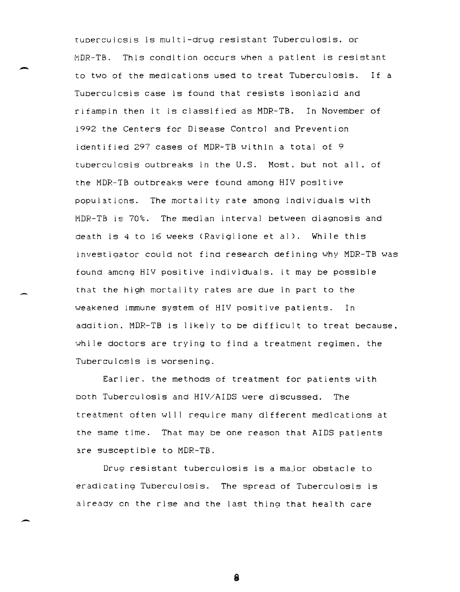tuoerculcsis is multi-drug resistant Tuberculosis. or MDR-TB. This condition occurs when a patient is resistant to two of the medications used to treat Tuberculosis. Tuberculosis case is found that resists isoniazid and If a rifampin then it is classified as MDR-TB. In November of 1992 the Centers for Disease Control and Prevention identified 297 cases of MDR-TB within a total of 9 tuberculosis outbreaks in the U.S. Most. but not all. of the MDR-TB outbreaks were found among HIV positive populations. The mortality rate among individuals with MDR-TB is 70%. The median interval between diagnosis and death is 4 to 16 weeks (Ravigl ione et al). While this investigator could not find research defining why MDR-TB was found among HIV positive individuals. it may be possible that the high mortality rates are due in part to the weakened immune system of HIV positive patients. In addition. MDR-TB is likely to be difficult to treat because. while doctors are trying to find a treatment regimen, the Tuberculosis is worsening.

Earlier. the methods of treatment for patients with both Tuberculosis and HIV/AIDS were discussed. The treatment often will require many different medications at the same time. That may be one reason that AIDS patients are susceptible to MDR-TB.

Drug resistant tuberculosis is a major obstacle to eradicating Tuberculosis. The spread of Tuberculosis is already en the rise and the last thing that health care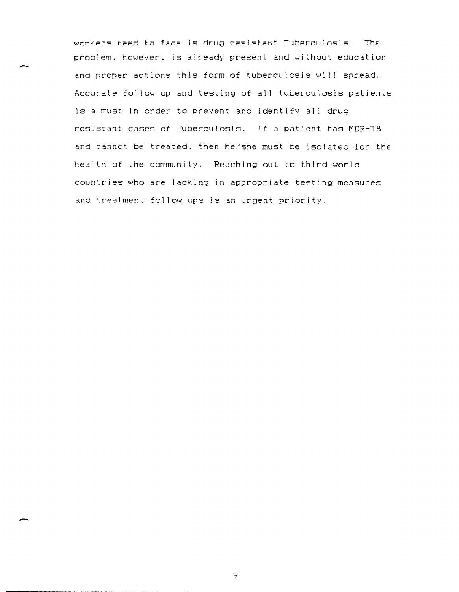workers need to face is drug resistant Tuberculosis. The problem. however. is already present and without education and proper actions this form of tuberculosis will spread. Accurate follow up and testing of all tuberculosis patients is a must in order to prevent and identify all drug resistant cases of Tuberculosis. If a patient has MDR-TB and cannet be treated. then he/she must be isolated for the health of the community. Reaching out to third world countries who are lacking in appropriate testing measures and treatment fol low-ups is an urgent priority.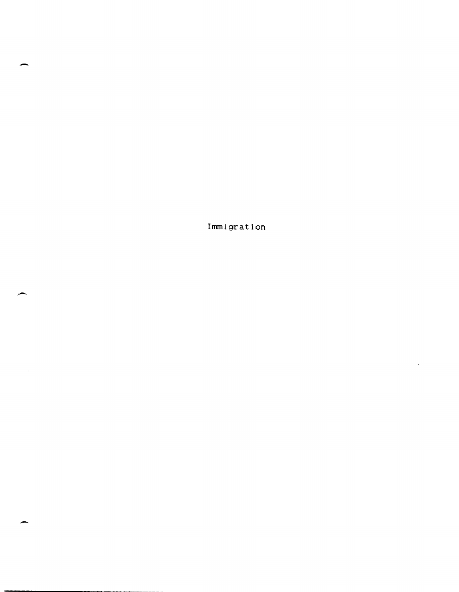**Immigration** 

-

-

.-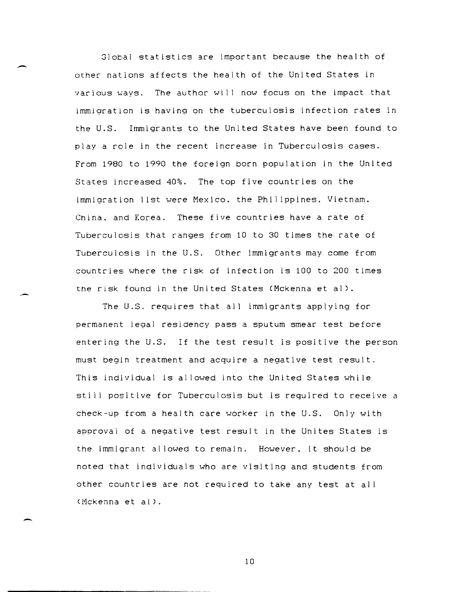310bal statistics are important because the health of other nations affects the health of the United States in various ways. The author will now focus on the impact that immigration is having on the tuberculosis infection rates in the U.S. Immigrants to the United States have been found to playa role in the recent increase in Tuberculosis cases. From 1980 to 1990 the foreign born population in the United States increased 40%. The top five countries on the immigration list were Mexico, the Philippines. Vietnam. China. and Korea. These five countries have a rate of Tuberculosis that ranges from 10 to 30 times the rate of Tuberculosis in the U.S. Other immigrants may come from countries where the risk of infection is 100 to 200 times the risk found in the United States (Mckenna et al).

The U.S. requires that all immigrants applying for permanent legal residency pass a sputum smear test before entering the U.S. If the test result is positive the person must begin treatment and acquire a negative test result. This individual is allowed into the United States while still positive for Tuberculosis but is required to receive a check-up from a health care worker in the U.S. Only with approval of a negative test result in the Unites States is the immigrant allowed to remain. However. it should be noted that individuals who are visiting and students from other countries are not required to take any test at all (Mckenna et al).

-

-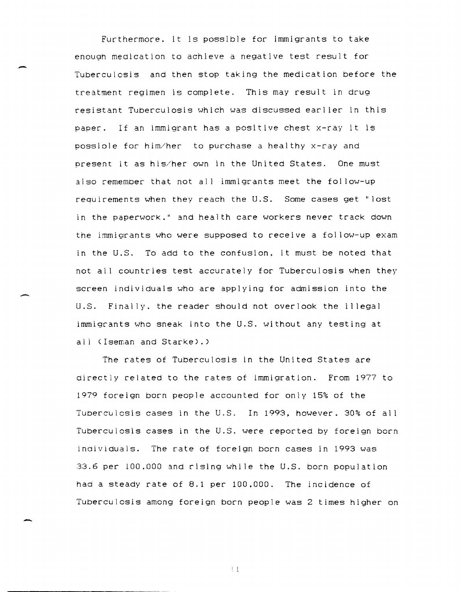Furthermore. it is possible for immigrants to take enough medication to achieve a negative test result for Tuberculosis and then stop taking the medication before the treatment regimen is complete. This may result in drug resistant Tuberculosis which was discussed earlier in this paper. If an immigrant has a positive chest x-ray it is possiole for him/her to purchase a healthy x-ray and present it as his/her own in the United States. One must also remember that not all immigrants meet the follow-up requirements when they reach the U.S. Some cases get "lost in the paperwork." and health care workers never track down the immigrants who were supposed to receive a follow-up exam in the U.S. To add to the confusion. it must be noted that not all countries test accurately for Tuberculosis when they screen individuals who are applying for admission into the U.S. Finally. the reader should not overlook the i I legal immigrants who sneak into the U.S. without any testing at all (Iseman and Starke).)

-

-

The rates of Tuberculosis in the United States are directly related to the rates of immigration. From 1977 to 1979 foreign born people accounted for only 15% of the Tuberculcsis cases in the U.S. In 1993. however. 30% of all Tuberculosis cases in the U.S. were reported by foreign born inaividuals. The rate of foreign born cases in 1993 was 33.6 per 100.000 and rising while the U.S. born population had a steady rate of 8.1 per 100,000. The incidence of Tuberculosis among foreign born people was 2 times higher on

.. t.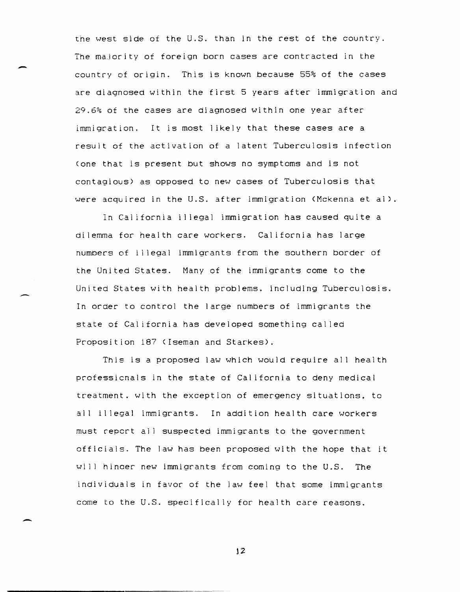the west side of the U.S. than in the rest of the country. The majority of foreign born cases are contracted in the country of origin. This is known because 55% of the cases are diagnosed within the first 5 years after immigration and 29.6% of the cases are diagnosed within one year after immigration. It is most likely that these cases are a result of the activation of a latent Tuberculosis infection (one that is present but shows no symptoms and is not contagious) as opposed to new cases of Tuberculosis that were acquired in the U.S. after immigration (Mckenna et al).

-

-

-

In California il legal immigration has caused quite a di lemma for health care workers. California has large numbers of illegal immigrants from the southern border of the United States. Many of the immigrants come to the United States with health problems. including Tuberculosis. In order to control the large numbers of immigrants the state of California has developed something cal led Proposition 187 (Iseman and Starkes).

This is a proposed law which would require all health professionals in the state of Cal ifornia to deny medical treatment. with the exception of emergency situations, to all illegal immigrants. In addition health care workers must report all suspected immigrants to the government officials. The law has been proposed with the hope that it wi]] hinoer new immigrants from coming to the U.S. The individuals in favor of the law fee] that some immigrants come to the U.S. specifically for health care reasons.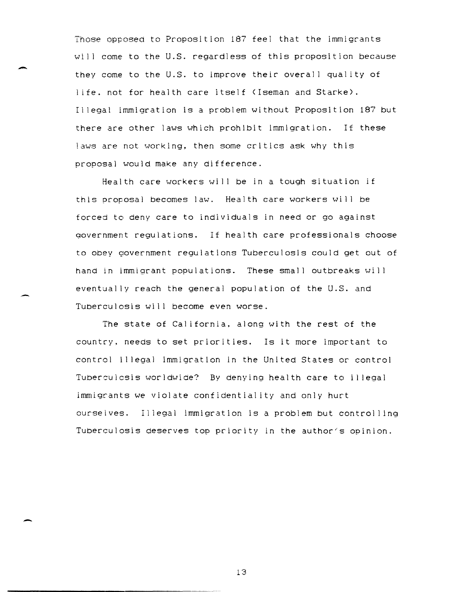Those opposed to Proposition 187 feel that the immigrants will come to the U.S. regardless of this proposition because they come to the U.S. to improve their overall quality of life. not for health care itself (Iseman and Starke). 11 legal immigration is a problem without Proposition 187 but there are other laws which prohibit immigration. If these laws are not working, then some critics ask why this proposal would make any difference.

-

-

Health care workers will be in a tough situation if this proposal becomes law. Health care workers will be forced to deny care to individuals in need or go against government regulations. If health care professionals choose to obey government regulations Tuberculosis could get out of hand in immigrant populations. These small outbreaks will eventually reach the general population of the U.S. and Tuberculosis will become even worse.

The state of California. along with the rest of the country. needs to set priorities. Is it more important to control illegal immigration in the United States or control TUberculcsis worldwide? By denying health care to il legal immigcants we violate confidentiality and only hurt ourseives. Illegal immigration is a problem but control ling Tuberculosis deserves top priority in the author's opinion.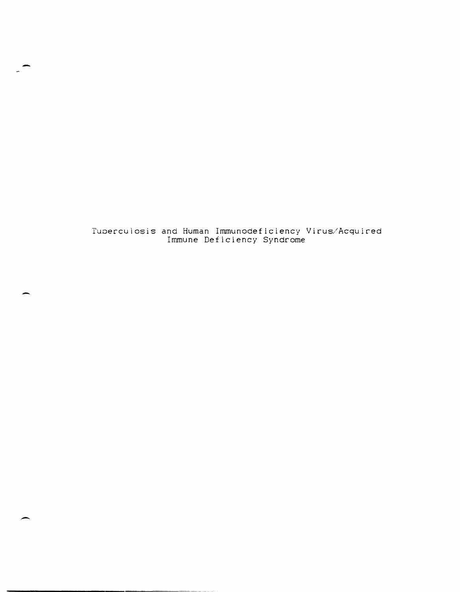Tuoerculosis and Human Immunodeficiency Virus/Acquired Immune Deficiency Syndrome

-

-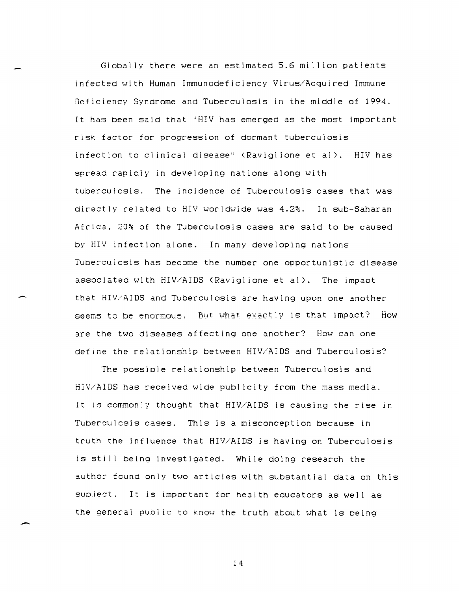Globally there were an estimated 5.6 million patients infected with Human Immunodeficiency Virus/Acquired Immune Deficiency Syndrome and Tuberculosis in the middle of 1994. It has been said that "HIV has emerged as the most important risk factor for progression of dormant tuberculosis infection to clinical disease" (Raviglione et al). HIV has spread rapidly in developing nations along with tuberculcsis. The incidence of Tuberculosis cases that was directly related to HIV worldwide was 4.2%. In sub-Saharan Africa. 20% of the Tuberculosis cases are said to be caused by HIV infection alone. In many developing nations Tuberculcsis has become the number one opportunistic disease associated with HIV/AIDS (Raviglione et al). The impact that HIV/AIDS and Tuberculosis are having upon one another seems to be enormous. But what exactly is that impact? How are the two diseases affecting one another? How can one define the relationship between HIV/AIDS and Tuberculosis?

The possible relationship between Tuberculosis and HIV/AIDS has received wide publ lcity from the mass media. It is commonly thought that HIV/AIDS is causing the rise in TUbereulcsis cases. This is a misconception because in truth the influence that HIV/AIDS is having on Tuberculosis is still being investigated. While doing research the author fcund only two articles with substantial data on this subject. It is important for health educators as well as the general PUb] ic to know the truth about what is being

14

-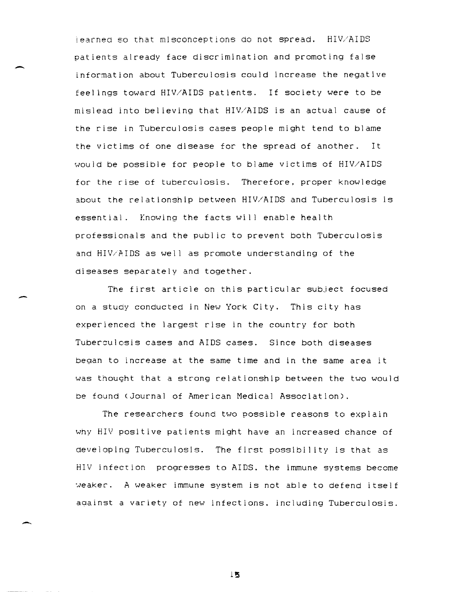learned so that misconceptions do not spread. HIV/AIDS patients already face discrimination and promoting false information about Tuberculosis could increase the negative feel ings toward HIV/AIDS patients. If society were to be mislead into believing that HIV/AIDS is an actual cause of the rise in TUberculosis cases people might tend to blame the victims of one disease for the spread of another. It would be possible for people to blame victims of HIV/AIDS for the rise of tuberculosis. Therefore, proper knowledge about the relationship between HIV/AIDS and Tuberculosis is essential. Knowing the facts will enable health professionals and the public to prevent both Tuberculosis and HIV/AIDS as well as promote understanding of the diseases separately and together.

The first article on this particular subject focused on a stuay conducted in New York City. This city has experienced the largest rise in the country for both Tuberculosis cases and AIDS cases. Since both diseases began to increase at the same time and in the same area it was thought that a strong relationship between the two would be found (Journal of American Medical Association).

The researchers found two possible reasons to explain why HIV positive patients might have an increased chance of developing Tuberculosis. The first possibility is that as HIV infection progresses to AIDS. the immune systems become weaker. A weaker immune system is not able to defend itself against a variety of new infections. including Tuberculosis.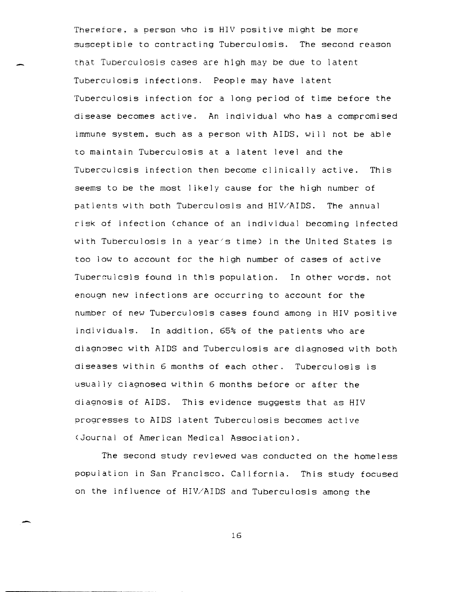Therefore. a person who is HIV positive might be more susceptible to contracting Tuberculosis. The second reason that Tuberculosis cases are high may be due to latent Tuberculosis infections. People may have latent Tuberculosis infection for a long period of time before the disease becomes active. An individual who has a compromised immune system, such as a person with AIDS, will not be able to maintain Tuberculosis at a latent level and the TUberculcsis infection then become clinically active. This seems to be the most likely cause for the high number of patients with both Tuberculosis and HIV/AIDS. The annual risk of infection <chance of an individual becoming infected with Tuberculosis in a year's time) in the United States is too low to account for the high number of cases of active Tuberculcsis found in this population. In other words. not enougn new infections are occurring to account for the number of new Tuberculosis cases found among in HIV positive individuals. In addition, 65% of the patients who are diagnosec with AIDS and Tuberculosis are diagnosed with both diseases within 6 months of each other. Tuberculosis is usually ciagnosed within 6 months before or after the diagnosis of AIDS. This evidence suggests that as HIV progresses to AIDS latent Tuberculosis becomes active <Journal of American Medical Association).

The second study reviewed was conducted on the homeless population in San Francisco. California. This study focused on the influence of HIV/AIDS and Tuberculosis among the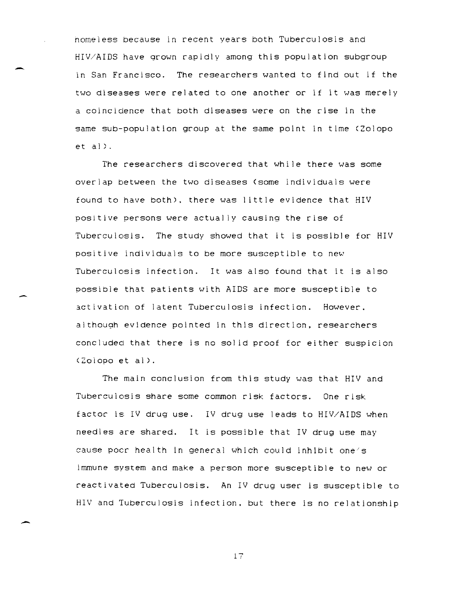homeless because in recent years both Tuberculosis and HIV/AIDS have qrown rapidly among this population subgroup in San Francisco. The researchers wanted to find out if the two diseases were related to one another or if it was merely a coincidence that both diseases were on the rise in the same sub-population group at the same point in time (Zolopo  $et al$ ).

 $\overline{\phantom{0}}$ 

-

The researchers discovered that while there was some overlap between the two diseases (some individuals were found to have both). there was little evidence that HIV positive persons were actually causing the rise of Tuberculosis. The study showed that it is possible for HIV positive individuals to be more susceptible to new Tuberculosis infection. It was also found that it is also possible that patients with AIDS are more susceptible to 3ctivation of latent Tuberculosis infection. However. although evidence pointed in this direction. researchers concluded that there is no sol id proof for either suspicion (Z010po et al).

The main conclusion from this study was that HIV and Tuberculosis share some common risk factors. One risk factor is IV drug use. IV drug use leads to HIV/AIDS when needles are shared. It is possible that IV drug use may cause poer health In general which could inhibit one/s immune system and make a person more susceptible to new or reactivated Tuberculosis. An IV drug user is susceptible to HIV and Tuberculosis infection, but there is no relationship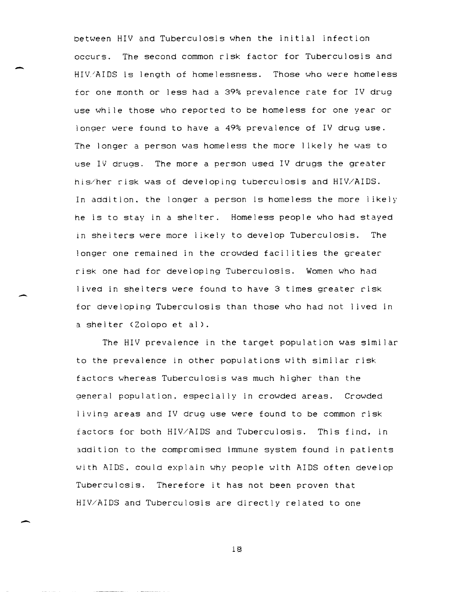between HIV and Tuberculosis when the initial infection occurs. The second common risk factor for Tuberculosis and HIV/AIDS is length of homelessness. Those who were homeless for one month or less had a 39% prevalence rate for IV drug use while those who reported to be homeless for one year or longer were found to have a 49% prevalence of IV drug use. The longer a person was homeless the more I ikely he was to use IV drugs. The more a person used IV drugs the greater his/her risk was of developing tuberculosis and HIV/AIDS. In addition, the longer a person is homeless the more likely he is to stay in a shelter. Homeless people who had stayed in shelters were more likely to develop Tuberculosis. The longer one remained in the crowded facilities the greater risk one had for developing Tuberculosis. Women who had <sup>I</sup>ived in shelters were found to have 3 times greater risk for developing Tuberculosis than those who had not lived in a shelter (Zolopo et al).

-

-

 $\overline{\phantom{a}}$ 

The HIV prevalence in the target population was similar to the prevalence in other populations with similar risk factors whereas Tuberculosis was much higher than the general population. especially in crowded areas. Crowded <sup>I</sup>iving areas and IV drug use were found to be common risk factors for both HIV/AIDS and Tuberculosis. This find. in addition to the compromised immune system found in patients with AIDS. could explain why people with AIDS often develop Tuberculosis. Therefore it has not been proven that HIV/AIDS and Tuberculosis are directly related to one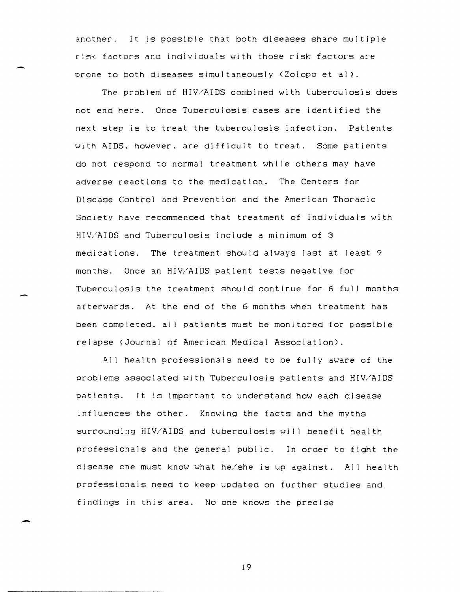inother. It Is Possible that both dIseases share multiple risk factors and individuals with those risk factors are prone to both diseases simultaneously (Zolopo et al).

The problem of HIV/AIDS combined with tuberculosis does not end here. Once Tuberculosis cases are identified the next step is to treat the tuberculosis infection. Patients with AIDS. however. are difficult to treat. Some patients do not respond to normal treatment while others may have adverse reactions to the medication. The Centers for Disease Control and Prevention and the American Thoracic Society have recommended that treatment of individuals with HIV/AIDS and Tuberculosis include a minimum of 3 medications. The treatment should always last at least 9 months. Once an HIV/AIDS patient tests negative for Tuberculosis the treatment should continue for 6 full months afterwards. At the end of the 6 months when treatment has been completed. all patients must be monitored for possible relapse (Journal of American Medical Association).

All health professionals need to be fully aware of the problems associated with Tuberculosis patients and HIV/AIDS patients. It is important to understand how each disease influences the other. Knowing the facts and the myths surrounding HIV/AIDS and tuberculosis will benefit health professicnals and the general public. In order to fight the disease one must know what he/she is up against. All health professionals need to keep updated on further studies and findings in this area. No one knows the precise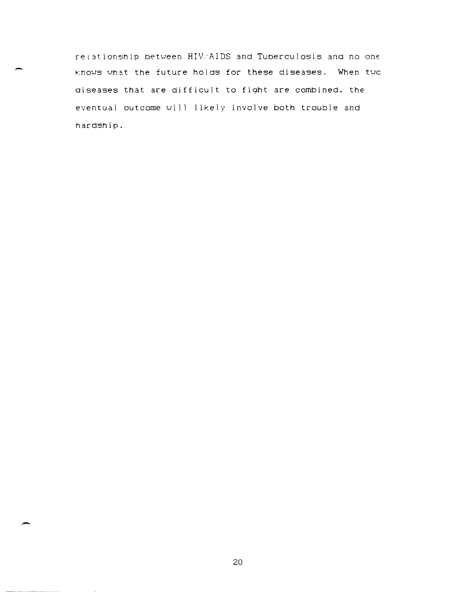relationship between HIV.'AIDS and Tuberculosis ana no one knows what the future holds for these diseases. When twc aiseases that are difficult to fight are combined. the eventual outcome will likely involve both trouble and hardship.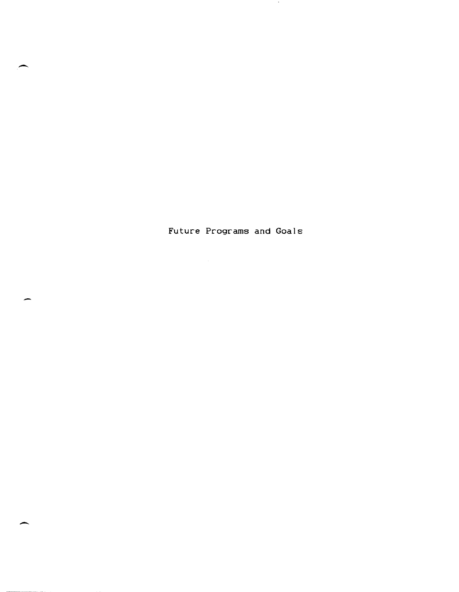Future Programs and Goals

 $\sim$ 

 $\overline{\phantom{0}}$ 

-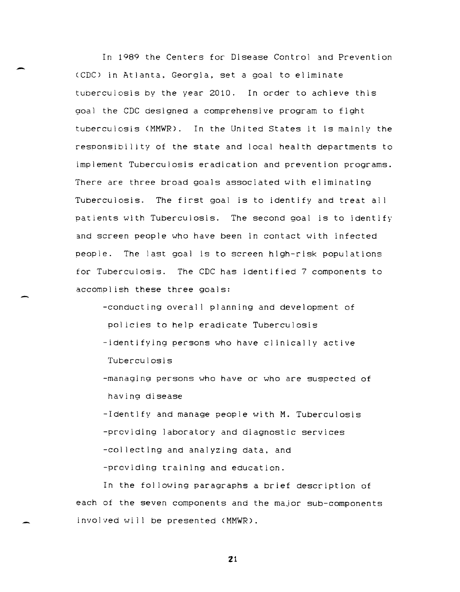In 1989 the Centers for Disease Control and Prevention (CDC) in Atlanta, Georgia, set a goal to eliminate tuberculosis by the year 2010. In order to achieve this goal the CDC designed a comprehensive program to fight tuberculosis (MMWR). In the United States it is mainly the responsibility of the state and local health departments to implement Tuberculosis eradication and prevention programs. There are three broad goals associated with el iminating Tuberculosis. The first goal is to identify and treat all patients with Tuberculosis. The second goal is to identify 3nd screen people who have been in contact with infected people. The last goal is to screen high-risk populations for Tuberculosis. The CDC has identified 7 components to accompl ish these three goals:

-conducting overall planning and development of policies to help eradicate Tuberculosis -identifying persons who have cl inical ly active Tuberculosis

-managing persons who have or who are suspected of having disease

-Identify and manage people with M. Tuberculosis -providing laboratory and diagnostic services -collecting and analyzing data, and -prcviding training and education.

In the fol lowing paragraphs a brief description of each of the seven components and the major sub-components involved will be presented (MMWR).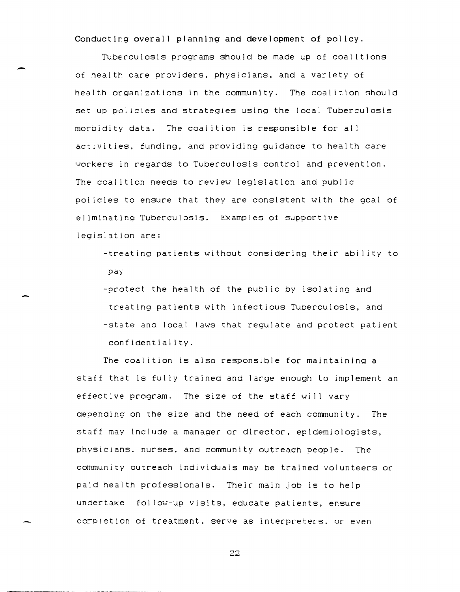Conducting overall planning and development of policy.

Tuberculosis programs should be made up of coal itions of health care providers, physicians, and a variety of health organizations in the community. The coalition should set up policies and strategies using the local Tuberculosis morbidity data. The coal ition is responsible for al I activities. funding, and providing guidance to health care ~orkers in regards to Tuberculosis control and prevention. The coalition needs to review legislation and public pol icies to ensure that they are consistent with the goal of el iminating Tuberculosis. Examples of supportive legislation are:

-treating patients without considering their abil ity to pay

-protect the health of the public by isolating and treating patients with infectious Tuberculosis. and -state and local laws that regulate and protect patient confidentiality.

The coal ition is also responsible for maintaining a staff that is fully trained and large enough to implement an effective program. The size of the staff will vary depending! on the size and the need of each community. The staff may include a manager or director, epidemiologists. physicians. nurses. and community outreach people. The community outreach individuals may be trained volunteers or paid health professionals. Their main Job is to help undertake fol low-up visits. educate patients. ensure comp)etlon of treatment. serve as interpreters. or even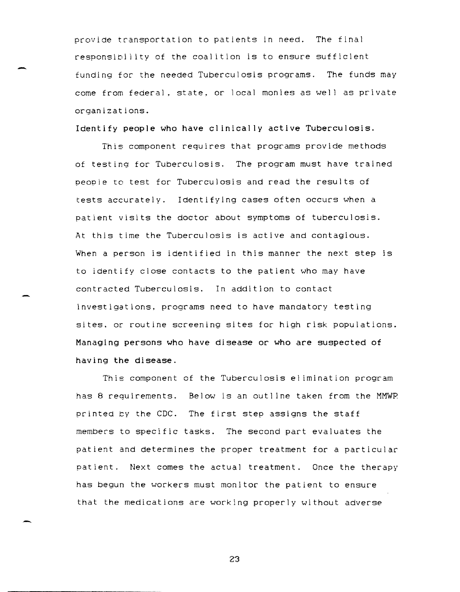provide transportation to patients in need. The final responsibil ity of the coalition is to ensure sufficient funding for the needed Tuberculosis programs. The funds may come from federal. state, or local monies as well as private organizations.

Identify people who have clinically active Tuberculosis.

-

This component requires that programs provide methods of testing for Tuberculosis. The program must have trained people to test for Tuberculosis and read the results of tests accurately. Identifying cases often occurs when a patient visits the doctor about symptoms of tuberculosis. At this time the Tuberculosis is active and contagious. When a person is identified in this manner the next step is to identify close contacts to the patient who may have contracted Tuberculosis. In addition to contact investigations. programs need to have mandatory testing sites. or routine screening sites for high risk populations. Managing persons who have disease or who are suspected of having the disease.

This component of the Tuberculosis el imination program has 8 requirements. Below is an outline taken from the MMWR printed by the CDC. The first step assigns the staff members to specific tasks. The second part evaluates the patient and determines the proper treatment for a particular patient. Next comes the actual treatment. Once the therapy has begun the workers must monitor the patient to ensure that the medications are working properly without adverse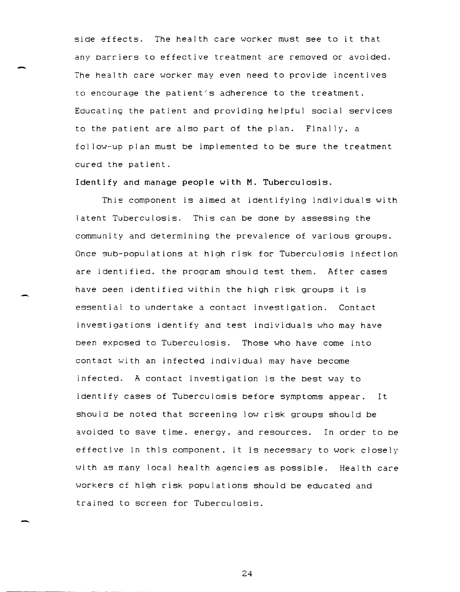side effects. The health care worker must see to it that any barriers to effective treatment are removed or avoided. The health care worker may even need to provide incentives to encourage the patient's adherence to the treatment. Educating the patient and providing helpful social services to the patient are also part of the plan. Finally. a fol low-up plan must be implemented to be sure the treatment cured the patient.

Identify and manage people with M. Tuberculosis.

This component is aimed at identifying individuals with latent Tuberculosis. This can be done by assessing the community and determining the prevalence of various groups. Once sub-populations at high risk for Tuberculosis infection are identified. the program should test them. After cases have Deen identified within the high risk groups it is essential to undertake a contact investigation. Contact investigations identify and test individuals who may have been exposed to Tuberculosis. Those who have come into contact with an infected individual may have become infected. A contact investigation is the best way to identify cases of Tuberculosis before symptoms appear. It should be noted that screening low risk groups should be avoided to save time. energy, and resources. In order to be effective in this component. it is necessary to work closely with as many local health agencies as possible. Health care workers cf high risk populations should be educated and trained to screen for Tuberculosis.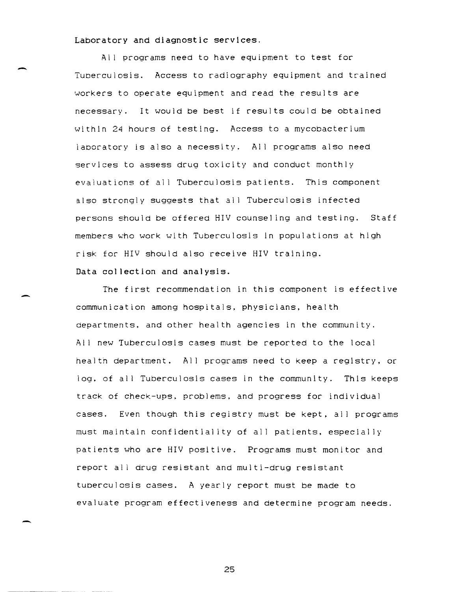Laboratory and diagnostic services.

All programs need to have equipment to test for Tuberculosis. Access to radiography equipment and trained workers to operate equipment and read the results are necessary. It would be best if results could be obtained within 24 hours of testing. Access to a mycobacterium laboratory is also a necessity. All programs also need services to assess drug toxicity and conduct monthly evaluations of all Tuberculosis patients. This component also strongly suggests that all Tuberculosis infected persons should be offered HIV counsel ing and testing. Staff members who work with Tuberculosis in populations at high risk for HIV should also receive HIV training. Data collection and analysis.

The first recommendation in this component is effective communication among hospitals. physicians, health departments. and other health agencies in the community. All new Tuberculosis cases must be reported to the local health department. All programs need to keep a registry, or log. of all Tuberculosis cases in the community. This keeps track of check-ups, problems. and progress for individual cases. Even though this registry must be kept, all programs must maintain confidentiality of all patients. especially patients who are HIV positive. Programs must monitor and report all drug resistant and multi-drug resistant tuberculosis cases. A yearly report must be made to evaluate program effectiveness and determine program needs.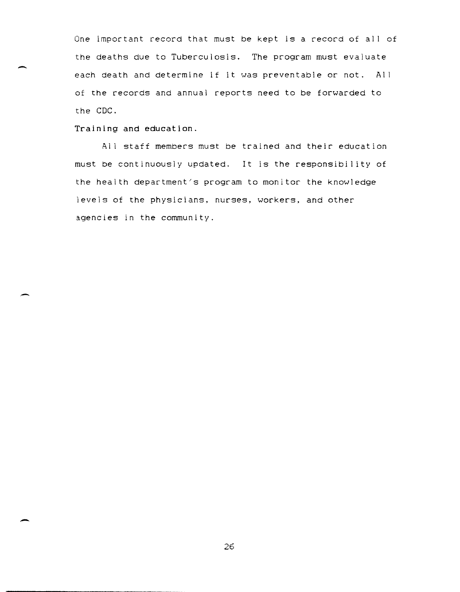One important record that must be kept is a record of all of the deaths due to Tuberculosis. The program must evaluate each death and determine if it was preventable or not. All of the records and annual reports need to be forwarded to the CDC.

Training **and** education.

All staff members must be trained and their education must be continuously updated. It is the responsibility of the health department/s program to monitor the knowledge levels of the physicians, nurses, workers, and other agencies in the community.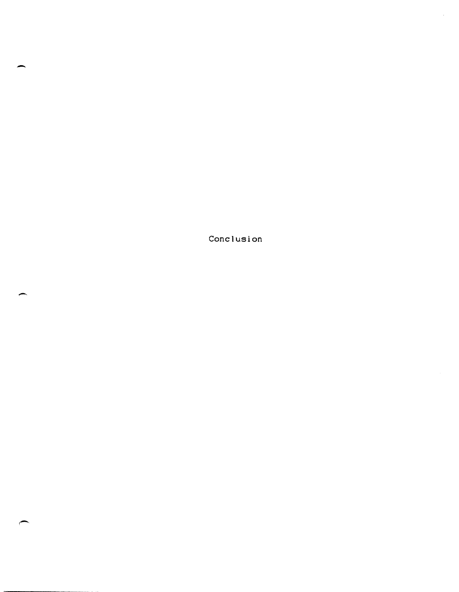Conclusion

 $\hat{\mathcal{L}}$ 

-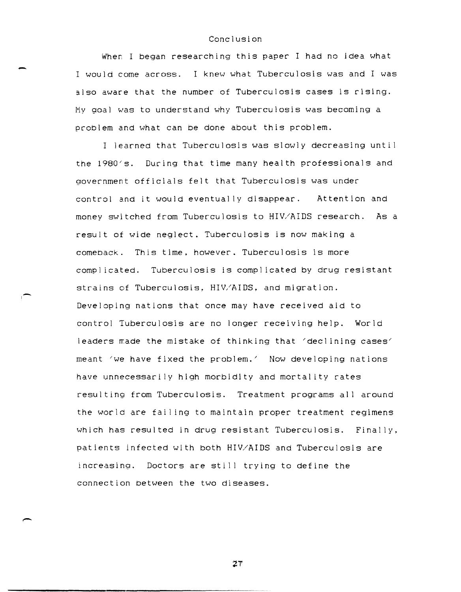## Conclusion

When I began researching this paper I had no idea what I would *come* across. I knew what Tuberculosis was and I was also aware that the number of Tuberculosis cases is rising. My goal was to understand why Tuberculosis was becoming a problem and what can be done about this problem.

I learned that Tuberculosis was slowly decreasing unti <sup>I</sup> the 1980's. During that time many health professionals and government officials felt that Tuberculosis was under control and it would eventually disappear. Attention and money switched from Tuberculosis to HIV/AIDS research. As a result of wide neglect. Tuberculosis is now making a comeback. This time, however. Tuberculosis is more compl icated. Tuberculosis is compl icated by drug resistant strains of Tuberculosis,  $HIV/AIDS$ , and migration. Developing nations that once may have received aid to control Tuberculosis are no longer receiving help. World leaders  $\pi$ ade the mistake of thinking that 'declining cases' meant 'we have fixed the problem.' Now developing nations have unnecessarily high morbidity and mortality rates resulting from Tuberculosis. Treatment programs all around the world are failing to maintain proper treatment regimens which has resulted in drug resistant Tuberculosis. Finally. patients infected with both HIV/AIDS and Tuberculosis are increasing. Doctors are still trying to define the connection between the two diseases.

.... I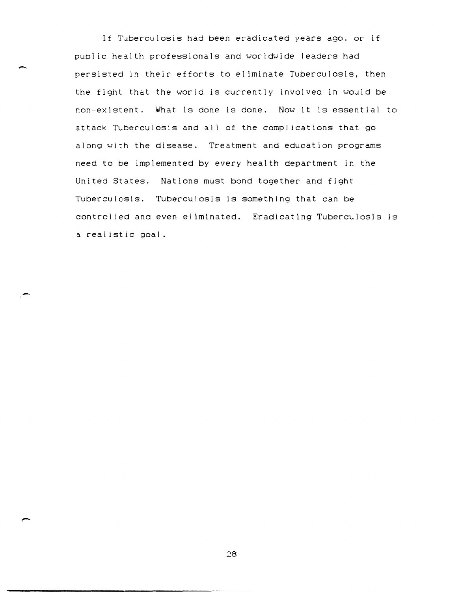If Tuberculosis had been eradicated years ago. or if publ ic health professionals and worldwide leaders had persisted in their efforts to eliminate Tuberculosis, then the fight that the world is currently involved in would be non-existent. What is done is done. Now it is essential to attack Tuberculosis and all of the complications that go along with the disease. Treatment and education programs need to be implemented by every health department in the United States. Nations must bond together and fight Tuberculosis. Tuberculosis is something that can be controlled and even eliminated. Eradicating Tuberculosis is a realistic goal.